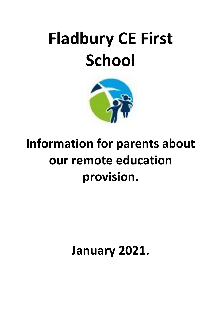# **Fladbury CE First School**



# **Information for parents about our remote education provision.**

**January 2021.**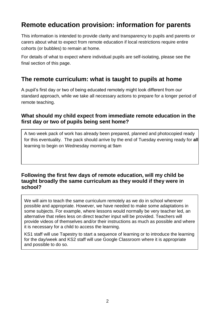# **Remote education provision: information for parents**

This information is intended to provide clarity and transparency to pupils and parents or carers about what to expect from remote education if local restrictions require entire cohorts (or bubbles) to remain at home.

For details of what to expect where individual pupils are self-isolating, please see the final section of this page.

### **The remote curriculum: what is taught to pupils at home**

A pupil's first day or two of being educated remotely might look different from our standard approach, while we take all necessary actions to prepare for a longer period of remote teaching.

#### **What should my child expect from immediate remote education in the first day or two of pupils being sent home?**

A two week pack of work has already been prepared, planned and photocopied ready for this eventuality. The pack should arrive by the end of Tuesday evening ready for **all**  learning to begin on Wednesday morning at 9am

#### **Following the first few days of remote education, will my child be taught broadly the same curriculum as they would if they were in school?**

We will aim to teach the same curriculum remotely as we do in school wherever possible and appropriate. However, we have needed to make some adaptations in some subjects. For example, where lessons would normally be very teacher led, an alternative that relies less on direct teacher input will be provided. Teachers will provide videos of themselves and/or their instructions as much as possible and where it is necessary for a child to access the learning.

KS1 staff will use Tapestry to start a sequence of learning or to introduce the learning for the day/week and KS2 staff will use Google Classroom where it is appropriate and possible to do so.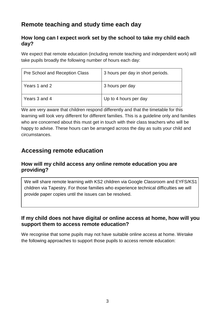# **Remote teaching and study time each day**

#### **How long can I expect work set by the school to take my child each day?**

We expect that remote education (including remote teaching and independent work) will take pupils broadly the following number of hours each day:

| Pre School and Reception Class | 3 hours per day in short periods. |
|--------------------------------|-----------------------------------|
| Years 1 and 2                  | 3 hours per day                   |
| Years 3 and 4                  | Up to 4 hours per day             |

We are very aware that children respond differently and that the timetable for this learning will look very different for different families. This is a guideline only and families who are concerned about this must get in touch with their class teachers who will be happy to advise. These hours can be arranged across the day as suits your child and circumstances.

# **Accessing remote education**

#### **How will my child access any online remote education you are providing?**

We will share remote learning with KS2 children via Google Classroom and EYFS/KS1 children via Tapestry. For those families who experience technical difficulties we will provide paper copies until the issues can be resolved.

#### **If my child does not have digital or online access at home, how will you support them to access remote education?**

We recognise that some pupils may not have suitable online access at home. Wetake the following approaches to support those pupils to access remote education: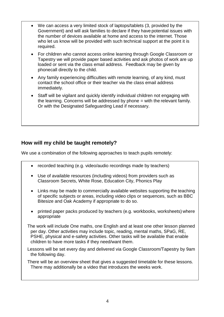- We can access a very limited stock of laptops/tablets (3, provided by the Government) and will ask families to declare if they have potential issues with the number of devices available at home and access to the internet. Those who let us know will be provided with such technical support at the point it is required.
- For children who cannot access online learning through Google Classroom or Tapestry we will provide paper based activities and ask photos of work are up loaded or sent via the class email address. Feedback may be given by phonecall directly to the child.
- Any family experiencing difficulties with remote learning, of any kind, must contact the school office or their teacher via the class email address immediately.
- Staff will be vigilant and quickly identify individual children not engaging with the learning. Concerns will be addressed by phone = with the relevant family. Or with the Designated Safeguarding Lead if necessary.

#### **How will my child be taught remotely?**

We use a combination of the following approaches to teach pupils remotely:

- recorded teaching (e.g. video/audio recordings made by teachers)
- Use of available resources (including videos) from providers such as Classroom Secrets, White Rose, Education City, Phonics Play
- Links may be made to commercially available websites supporting the teaching of specific subjects or areas, including video clips or sequences, such as BBC Bitesize and Oak Academy if appropriate to do so.
- printed paper packs produced by teachers (e.g. workbooks, worksheets) where appropriate

The work will include One maths, one English and at least one other lesson planned per day. Other activities may include topic, reading, mental maths, SPaG, RE, PSHE, physical and e-safety activities. Other tasks will be available that enable children to have more tasks if they need/want them.

Lessons will be set every day and delivered via Google Classroom/Tapestry by 9am the following day.

There will be an overview sheet that gives a suggested timetable for these lessons. There may additionally be a video that introduces the weeks work.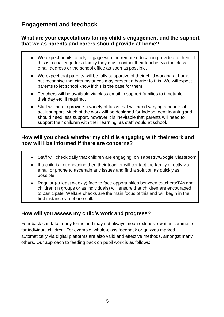## **Engagement and feedback**

#### **What are your expectations for my child's engagement and the support that we as parents and carers should provide at home?**

- We expect pupils to fully engage with the remote education provided to them. If this is a challenge for a family they must contact their teacher via the class email address or the school office as soon as possible.
- We expect that parents will be fully supportive of their child working at home but recognise that circumstances may present a barrier to this. We willexpect parents to let school know if this is the case for them.
- Teachers will be available via class email to support families to timetable their day etc, if required.
- Staff will aim to provide a variety of tasks that will need varying amounts of adult support. Much of the work will be designed for independent learning and should need less support, however it is inevitable that parents will need to support their children with their learning, as staff would at school.

#### **How will you check whether my child is engaging with their work and how will I be informed if there are concerns?**

- Staff will check daily that children are engaging, on Tapestry/Google Classroom.
- If a child is not engaging then their teacher will contact the family directly via email or phone to ascertain any issues and find a solution as quickly as possible.
- Regular (at least weekly) face to face opportunities between teachers/TAs and children (in groups or as individuals) will ensure that children are encouraged to participate. Welfare checks are the main focus of this and will begin in the first instance via phone call.

#### **How will you assess my child's work and progress?**

Feedback can take many forms and may not always mean extensive written comments for individual children. For example, whole-class feedback or quizzes marked automatically via digital platforms are also valid and effective methods, amongst many others. Our approach to feeding back on pupil work is as follows: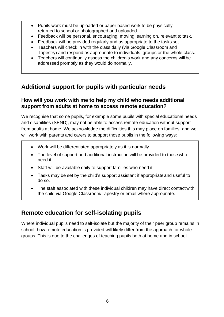- Pupils work must be uploaded or paper based work to be physically returned to school or photographed and uploaded
- Feedback will be personal, encouraging, moving learning on, relevant to task.
- Feedback will be provided regularly and as appropriate to the tasks set.
- Teachers will check in with the class daily (via Google Classroom and Tapestry) and respond as appropriate to individuals, groups or the whole class.
- Teachers will continually assess the children's work and any concerns will be addressed promptly as they would do normally.

# **Additional support for pupils with particular needs**

#### **How will you work with me to help my child who needs additional support from adults at home to access remote education?**

We recognise that some pupils, for example some pupils with special educational needs and disabilities (SEND), may not be able to access remote education without support from adults at home. We acknowledge the difficulties this may place on families, and we will work with parents and carers to support those pupils in the following ways:

- Work will be differentiated appropriately as it is normally.
- The level of support and additional instruction will be provided to those who need it.
- Staff will be available daily to support families who need it.
- Tasks may be set by the child's support assistant if appropriate and useful to do so.
- The staff associated with these individual children may have direct contact with the child via Google Classroom/Tapestry or email where appropriate.

# **Remote education for self-isolating pupils**

Where individual pupils need to self-isolate but the majority of their peer group remains in school, how remote education is provided will likely differ from the approach for whole groups. This is due to the challenges of teaching pupils both at home and in school.